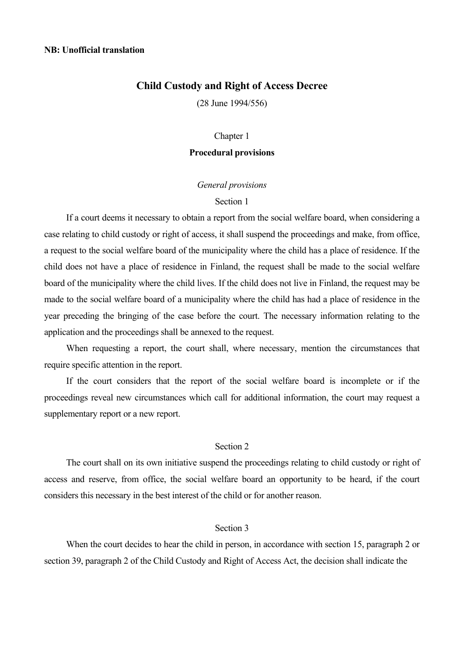# **Child Custody and Right of Access Decree**

(28 June 1994/556)

#### Chapter 1

## **Procedural provisions**

#### *General provisions*

## Section 1

 If a court deems it necessary to obtain a report from the social welfare board, when considering a case relating to child custody or right of access, it shall suspend the proceedings and make, from office, a request to the social welfare board of the municipality where the child has a place of residence. If the child does not have a place of residence in Finland, the request shall be made to the social welfare board of the municipality where the child lives. If the child does not live in Finland, the request may be made to the social welfare board of a municipality where the child has had a place of residence in the year preceding the bringing of the case before the court. The necessary information relating to the application and the proceedings shall be annexed to the request.

 When requesting a report, the court shall, where necessary, mention the circumstances that require specific attention in the report.

 If the court considers that the report of the social welfare board is incomplete or if the proceedings reveal new circumstances which call for additional information, the court may request a supplementary report or a new report.

# Section 2

 The court shall on its own initiative suspend the proceedings relating to child custody or right of access and reserve, from office, the social welfare board an opportunity to be heard, if the court considers this necessary in the best interest of the child or for another reason.

#### Section 3

 When the court decides to hear the child in person, in accordance with section 15, paragraph 2 or section 39, paragraph 2 of the Child Custody and Right of Access Act, the decision shall indicate the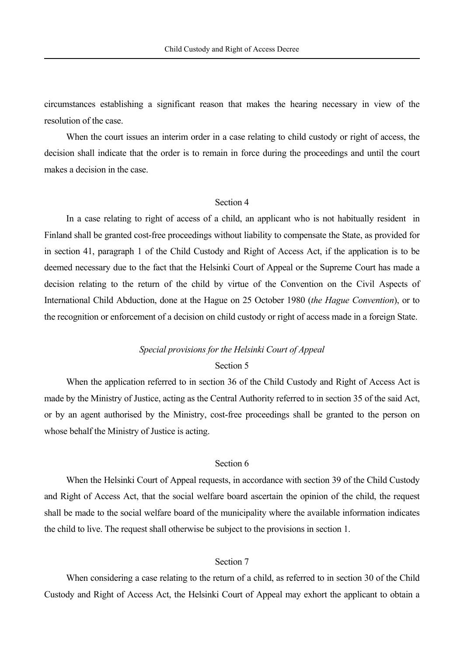circumstances establishing a significant reason that makes the hearing necessary in view of the resolution of the case.

 When the court issues an interim order in a case relating to child custody or right of access, the decision shall indicate that the order is to remain in force during the proceedings and until the court makes a decision in the case.

#### Section 4

 In a case relating to right of access of a child, an applicant who is not habitually resident in Finland shall be granted cost-free proceedings without liability to compensate the State, as provided for in section 41, paragraph 1 of the Child Custody and Right of Access Act, if the application is to be deemed necessary due to the fact that the Helsinki Court of Appeal or the Supreme Court has made a decision relating to the return of the child by virtue of the Convention on the Civil Aspects of International Child Abduction, done at the Hague on 25 October 1980 (*the Hague Convention*), or to the recognition or enforcement of a decision on child custody or right of access made in a foreign State.

#### *Special provisions for the Helsinki Court of Appeal*

#### Section 5

 When the application referred to in section 36 of the Child Custody and Right of Access Act is made by the Ministry of Justice, acting as the Central Authority referred to in section 35 of the said Act, or by an agent authorised by the Ministry, cost-free proceedings shall be granted to the person on whose behalf the Ministry of Justice is acting.

# Section 6

 When the Helsinki Court of Appeal requests, in accordance with section 39 of the Child Custody and Right of Access Act, that the social welfare board ascertain the opinion of the child, the request shall be made to the social welfare board of the municipality where the available information indicates the child to live. The request shall otherwise be subject to the provisions in section 1.

#### Section 7

 When considering a case relating to the return of a child, as referred to in section 30 of the Child Custody and Right of Access Act, the Helsinki Court of Appeal may exhort the applicant to obtain a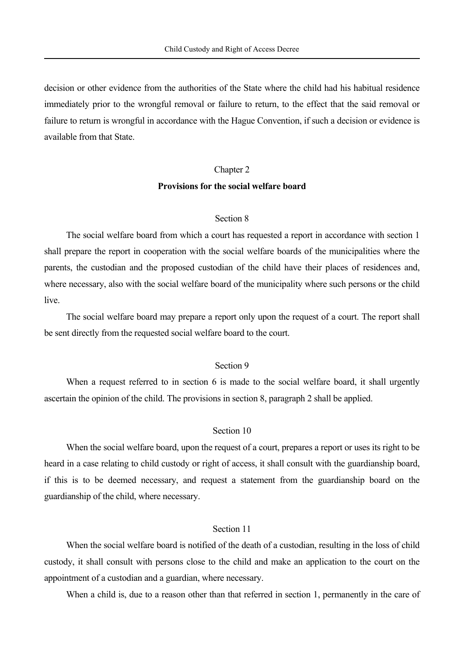decision or other evidence from the authorities of the State where the child had his habitual residence immediately prior to the wrongful removal or failure to return, to the effect that the said removal or failure to return is wrongful in accordance with the Hague Convention, if such a decision or evidence is available from that State.

#### Chapter 2

#### **Provisions for the social welfare board**

# Section 8

 The social welfare board from which a court has requested a report in accordance with section 1 shall prepare the report in cooperation with the social welfare boards of the municipalities where the parents, the custodian and the proposed custodian of the child have their places of residences and, where necessary, also with the social welfare board of the municipality where such persons or the child live.

 The social welfare board may prepare a report only upon the request of a court. The report shall be sent directly from the requested social welfare board to the court.

# Section 9

When a request referred to in section 6 is made to the social welfare board, it shall urgently ascertain the opinion of the child. The provisions in section 8, paragraph 2 shall be applied.

# Section 10

 When the social welfare board, upon the request of a court, prepares a report or uses its right to be heard in a case relating to child custody or right of access, it shall consult with the guardianship board, if this is to be deemed necessary, and request a statement from the guardianship board on the guardianship of the child, where necessary.

#### Section 11

 When the social welfare board is notified of the death of a custodian, resulting in the loss of child custody, it shall consult with persons close to the child and make an application to the court on the appointment of a custodian and a guardian, where necessary.

When a child is, due to a reason other than that referred in section 1, permanently in the care of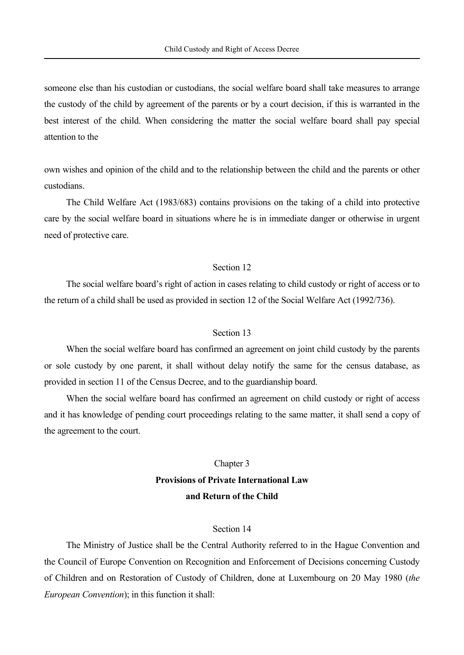someone else than his custodian or custodians, the social welfare board shall take measures to arrange the custody of the child by agreement of the parents or by a court decision, if this is warranted in the best interest of the child. When considering the matter the social welfare board shall pay special attention to the

own wishes and opinion of the child and to the relationship between the child and the parents or other custodians.

 The Child Welfare Act (1983/683) contains provisions on the taking of a child into protective care by the social welfare board in situations where he is in immediate danger or otherwise in urgent need of protective care.

#### Section 12

 The social welfare board's right of action in cases relating to child custody or right of access or to the return of a child shall be used as provided in section 12 of the Social Welfare Act (1992/736).

#### Section 13

 When the social welfare board has confirmed an agreement on joint child custody by the parents or sole custody by one parent, it shall without delay notify the same for the census database, as provided in section 11 of the Census Decree, and to the guardianship board.

 When the social welfare board has confirmed an agreement on child custody or right of access and it has knowledge of pending court proceedings relating to the same matter, it shall send a copy of the agreement to the court.

# Chapter 3  **Provisions of Private International Law and Return of the Child**

#### Section 14

 The Ministry of Justice shall be the Central Authority referred to in the Hague Convention and the Council of Europe Convention on Recognition and Enforcement of Decisions concerning Custody of Children and on Restoration of Custody of Children, done at Luxembourg on 20 May 1980 (*the European Convention*); in this function it shall: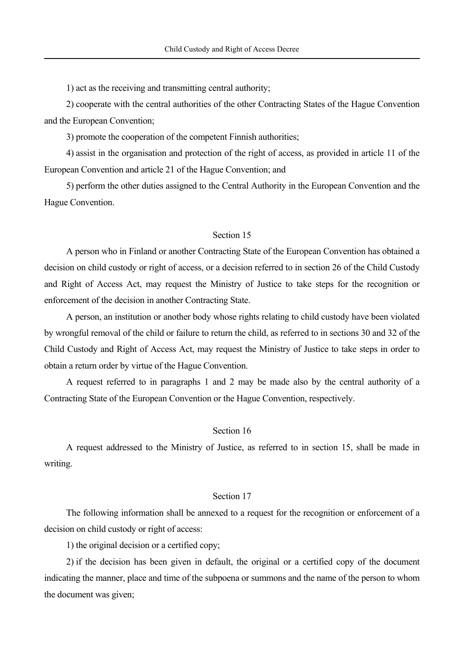1) act as the receiving and transmitting central authority;

 2) cooperate with the central authorities of the other Contracting States of the Hague Convention and the European Convention;

3) promote the cooperation of the competent Finnish authorities;

 4) assist in the organisation and protection of the right of access, as provided in article 11 of the European Convention and article 21 of the Hague Convention; and

 5) perform the other duties assigned to the Central Authority in the European Convention and the Hague Convention.

## Section 15

 A person who in Finland or another Contracting State of the European Convention has obtained a decision on child custody or right of access, or a decision referred to in section 26 of the Child Custody and Right of Access Act, may request the Ministry of Justice to take steps for the recognition or enforcement of the decision in another Contracting State.

 A person, an institution or another body whose rights relating to child custody have been violated by wrongful removal of the child or failure to return the child, as referred to in sections 30 and 32 of the Child Custody and Right of Access Act, may request the Ministry of Justice to take steps in order to obtain a return order by virtue of the Hague Convention.

 A request referred to in paragraphs 1 and 2 may be made also by the central authority of a Contracting State of the European Convention or the Hague Convention, respectively.

# Section 16

 A request addressed to the Ministry of Justice, as referred to in section 15, shall be made in writing.

#### Section 17

 The following information shall be annexed to a request for the recognition or enforcement of a decision on child custody or right of access:

1) the original decision or a certified copy;

 2) if the decision has been given in default, the original or a certified copy of the document indicating the manner, place and time of the subpoena or summons and the name of the person to whom the document was given;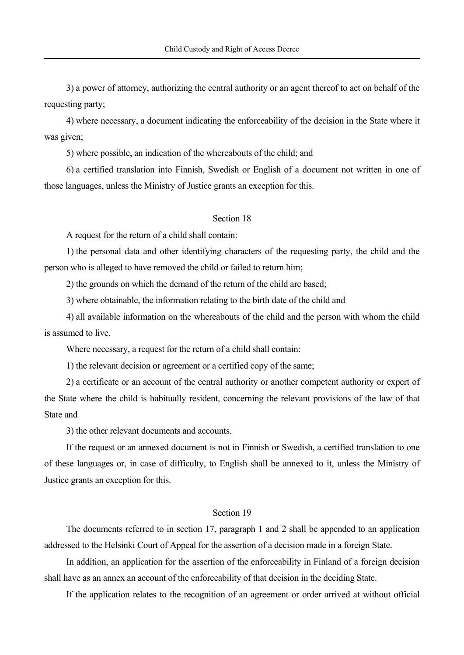3) a power of attorney, authorizing the central authority or an agent thereof to act on behalf of the requesting party;

 4) where necessary, a document indicating the enforceability of the decision in the State where it was given;

5) where possible, an indication of the whereabouts of the child; and

 6) a certified translation into Finnish, Swedish or English of a document not written in one of those languages, unless the Ministry of Justice grants an exception for this.

# Section 18

A request for the return of a child shall contain:

 1) the personal data and other identifying characters of the requesting party, the child and the person who is alleged to have removed the child or failed to return him;

2) the grounds on which the demand of the return of the child are based;

3) where obtainable, the information relating to the birth date of the child and

 4) all available information on the whereabouts of the child and the person with whom the child is assumed to live.

Where necessary, a request for the return of a child shall contain:

1) the relevant decision or agreement or a certified copy of the same;

 2) a certificate or an account of the central authority or another competent authority or expert of the State where the child is habitually resident, concerning the relevant provisions of the law of that State and

3) the other relevant documents and accounts.

 If the request or an annexed document is not in Finnish or Swedish, a certified translation to one of these languages or, in case of difficulty, to English shall be annexed to it, unless the Ministry of Justice grants an exception for this.

# Section 19

 The documents referred to in section 17, paragraph 1 and 2 shall be appended to an application addressed to the Helsinki Court of Appeal for the assertion of a decision made in a foreign State.

 In addition, an application for the assertion of the enforceability in Finland of a foreign decision shall have as an annex an account of the enforceability of that decision in the deciding State.

If the application relates to the recognition of an agreement or order arrived at without official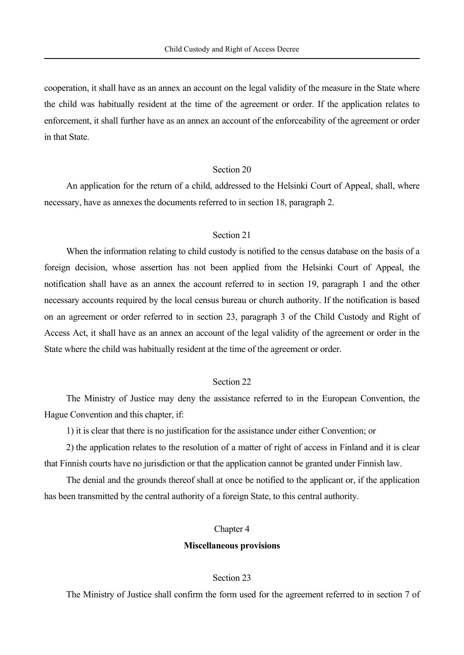cooperation, it shall have as an annex an account on the legal validity of the measure in the State where the child was habitually resident at the time of the agreement or order. If the application relates to enforcement, it shall further have as an annex an account of the enforceability of the agreement or order in that State.

# Section 20

 An application for the return of a child, addressed to the Helsinki Court of Appeal, shall, where necessary, have as annexes the documents referred to in section 18, paragraph 2.

## Section 21

 When the information relating to child custody is notified to the census database on the basis of a foreign decision, whose assertion has not been applied from the Helsinki Court of Appeal, the notification shall have as an annex the account referred to in section 19, paragraph 1 and the other necessary accounts required by the local census bureau or church authority. If the notification is based on an agreement or order referred to in section 23, paragraph 3 of the Child Custody and Right of Access Act, it shall have as an annex an account of the legal validity of the agreement or order in the State where the child was habitually resident at the time of the agreement or order.

#### Section 22

 The Ministry of Justice may deny the assistance referred to in the European Convention, the Hague Convention and this chapter, if:

1) it is clear that there is no justification for the assistance under either Convention; or

 2) the application relates to the resolution of a matter of right of access in Finland and it is clear that Finnish courts have no jurisdiction or that the application cannot be granted under Finnish law.

 The denial and the grounds thereof shall at once be notified to the applicant or, if the application has been transmitted by the central authority of a foreign State, to this central authority.

## Chapter 4

#### **Miscellaneous provisions**

## Section 23

The Ministry of Justice shall confirm the form used for the agreement referred to in section 7 of